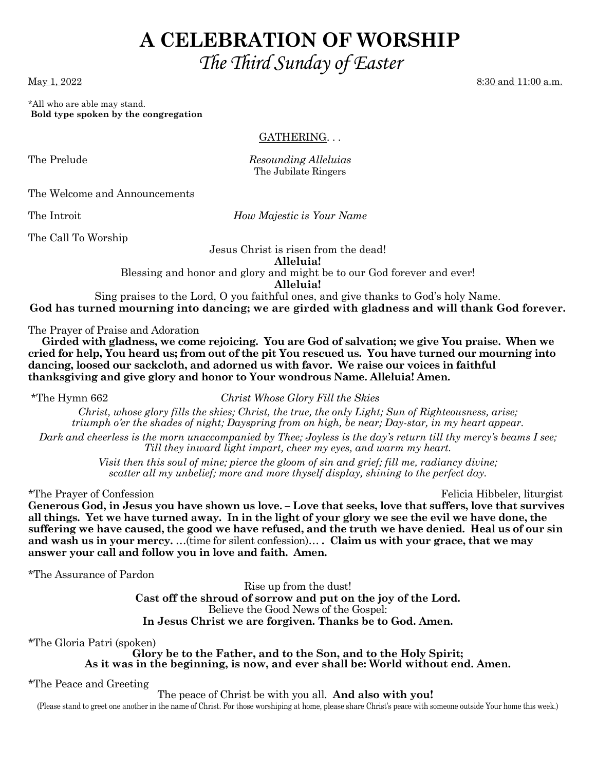# **A CELEBRATION OF WORSHIP**  *The Third Sunday of Easter*

May 1, 2022 8:30 and 11:00 a.m.

\*All who are able may stand.  **Bold type spoken by the congregation** 

GATHERING. . .

The Prelude *Resounding Alleluias*  The Jubilate Ringers

The Welcome and Announcements

The Introit *How Majestic is Your Name* 

The Call To Worship

Jesus Christ is risen from the dead! **Alleluia!**  Blessing and honor and glory and might be to our God forever and ever! **Alleluia!** 

Sing praises to the Lord, O you faithful ones, and give thanks to God's holy Name. **God has turned mourning into dancing; we are girded with gladness and will thank God forever.** 

The Prayer of Praise and Adoration

 **Girded with gladness, we come rejoicing. You are God of salvation; we give You praise. When we cried for help, You heard us; from out of the pit You rescued us. You have turned our mourning into dancing, loosed our sackcloth, and adorned us with favor. We raise our voices in faithful thanksgiving and give glory and honor to Your wondrous Name. Alleluia! Amen.** 

\*The Hymn 662 *Christ Whose Glory Fill the Skies* 

*Christ, whose glory fills the skies; Christ, the true, the only Light; Sun of Righteousness, arise; triumph o'er the shades of night; Dayspring from on high, be near; Day-star, in my heart appear.* 

*Dark and cheerless is the morn unaccompanied by Thee; Joyless is the day's return till thy mercy's beams I see; Till they inward light impart, cheer my eyes, and warm my heart.* 

> *Visit then this soul of mine; pierce the gloom of sin and grief; fill me, radiancy divine; scatter all my unbelief; more and more thyself display, shining to the perfect day.*

\*The Prayer of Confession Felicia Hibbeler, liturgist

**Generous God, in Jesus you have shown us love. – Love that seeks, love that suffers, love that survives all things. Yet we have turned away. In in the light of your glory we see the evil we have done, the suffering we have caused, the good we have refused, and the truth we have denied. Heal us of our sin and wash us in your mercy.** …(time for silent confession)… **. Claim us with your grace, that we may answer your call and follow you in love and faith. Amen.** 

\*The Assurance of Pardon

Rise up from the dust! **Cast off the shroud of sorrow and put on the joy of the Lord.**  Believe the Good News of the Gospel: **In Jesus Christ we are forgiven. Thanks be to God. Amen.** 

\*The Gloria Patri (spoken)

**Glory be to the Father, and to the Son, and to the Holy Spirit; As it was in the beginning, is now, and ever shall be: World without end. Amen.** 

\*The Peace and Greeting

The peace of Christ be with you all. **And also with you!**

(Please stand to greet one another in the name of Christ. For those worshiping at home, please share Christ's peace with someone outside Your home this week.)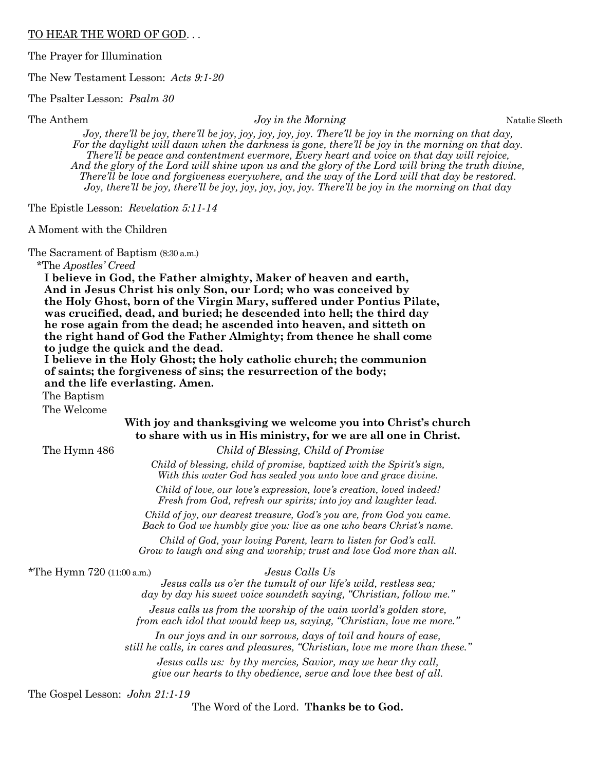#### TO HEAR THE WORD OF GOD. . .

The Prayer for Illumination

The New Testament Lesson: *Acts 9:1-20* 

The Psalter Lesson: *Psalm 30*

#### The Anthem *Joy in the Morning* Natalie Sleeth

*Joy, there'll be joy, there'll be joy, joy, joy, joy, joy. There'll be joy in the morning on that day, For the daylight will dawn when the darkness is gone, there'll be joy in the morning on that day. There'll be peace and contentment evermore, Every heart and voice on that day will rejoice, And the glory of the Lord will shine upon us and the glory of the Lord will bring the truth divine, There'll be love and forgiveness everywhere, and the way of the Lord will that day be restored. Joy, there'll be joy, there'll be joy, joy, joy, joy, joy. There'll be joy in the morning on that day* 

The Epistle Lesson: *Revelation 5:11-14*

A Moment with the Children

The Sacrament of Baptism (8:30 a.m.)

\*The *Apostles' Creed*

 **I believe in God, the Father almighty, Maker of heaven and earth, And in Jesus Christ his only Son, our Lord; who was conceived by the Holy Ghost, born of the Virgin Mary, suffered under Pontius Pilate, was crucified, dead, and buried; he descended into hell; the third day he rose again from the dead; he ascended into heaven, and sitteth on the right hand of God the Father Almighty; from thence he shall come to judge the quick and the dead.** 

 **I believe in the Holy Ghost; the holy catholic church; the communion of saints; the forgiveness of sins; the resurrection of the body; and the life everlasting. Amen.** 

The Baptism

The Welcome

## **With joy and thanksgiving we welcome you into Christ's church to share with us in His ministry, for we are all one in Christ.**

The Hymn 486 *Child of Blessing, Child of Promise* 

*Child of blessing, child of promise, baptized with the Spirit's sign, With this water God has sealed you unto love and grace divine.* 

*Child of love, our love's expression, love's creation, loved indeed! Fresh from God, refresh our spirits; into joy and laughter lead.* 

*Child of joy, our dearest treasure, God's you are, from God you came. Back to God we humbly give you: live as one who bears Christ's name.* 

*Child of God, your loving Parent, learn to listen for God's call. Grow to laugh and sing and worship; trust and love God more than all.* 

\*The Hymn 720 (11:00 a.m.) *Jesus Calls Us* 

*Jesus calls us o'er the tumult of our life's wild, restless sea; day by day his sweet voice soundeth saying, "Christian, follow me."* 

*Jesus calls us from the worship of the vain world's golden store, from each idol that would keep us, saying, "Christian, love me more."* 

*In our joys and in our sorrows, days of toil and hours of ease, still he calls, in cares and pleasures, "Christian, love me more than these."* 

*Jesus calls us: by thy mercies, Savior, may we hear thy call, give our hearts to thy obedience, serve and love thee best of all.* 

The Gospel Lesson: *John 21:1-19* 

The Word of the Lord. **Thanks be to God.**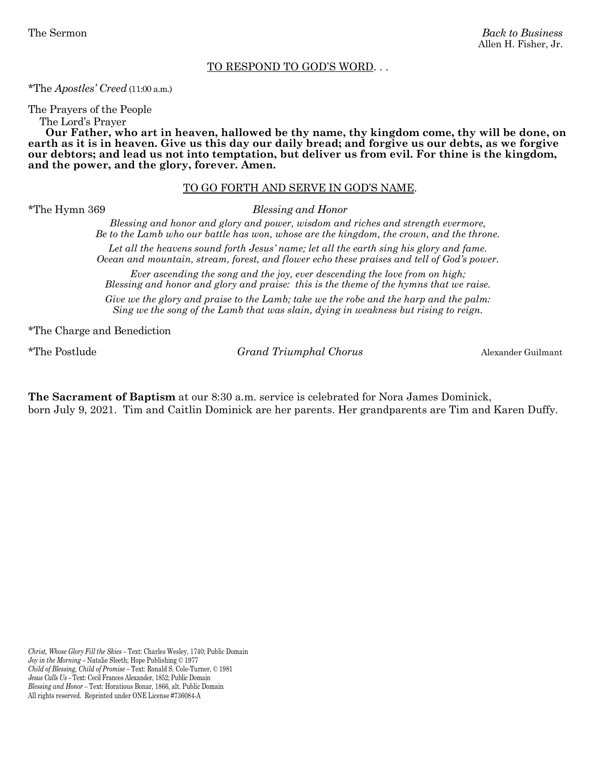#### TO RESPOND TO GOD'S WORD. . .

\*The *Apostles' Creed* (11:00 a.m.)

The Prayers of the People

The Lord's Prayer

 **Our Father, who art in heaven, hallowed be thy name, thy kingdom come, thy will be done, on earth as it is in heaven. Give us this day our daily bread; and forgive us our debts, as we forgive our debtors; and lead us not into temptation, but deliver us from evil. For thine is the kingdom, and the power, and the glory, forever. Amen.** 

#### TO GO FORTH AND SERVE IN GOD'S NAME.

\*The Hymn 369 *Blessing and Honor* 

*Blessing and honor and glory and power, wisdom and riches and strength evermore, Be to the Lamb who our battle has won, whose are the kingdom, the crown, and the throne.* 

*Let all the heavens sound forth Jesus' name; let all the earth sing his glory and fame. Ocean and mountain, stream, forest, and flower echo these praises and tell of God's power.* 

*Ever ascending the song and the joy, ever descending the love from on high; Blessing and honor and glory and praise: this is the theme of the hymns that we raise.* 

*Give we the glory and praise to the Lamb; take we the robe and the harp and the palm: Sing we the song of the Lamb that was slain, dying in weakness but rising to reign.* 

\*The Charge and Benediction

\*The Postlude *Grand Triumphal Chorus* Alexander Guilmant

**The Sacrament of Baptism** at our 8:30 a.m. service is celebrated for Nora James Dominick, born July 9, 2021. Tim and Caitlin Dominick are her parents. Her grandparents are Tim and Karen Duffy.

*Christ, Whose Glory Fill the Skies –* Text: Charles Wesley, 1740; Public Domain *Joy in the Morning –* Natalie Sleeth; Hope Publishing © 1977 *Child of Blessing, Child of Promise –* Text: Ronald S. Cole-Turner, © 1981 *Jesus Calls Us –* Text: Cecil Frances Alexander, 1852; Public Domain *Blessing and Honor –* Text: Horatious Bonar, 1866, alt. Public Domain All rights reserved. Reprinted under ONE License #736084-A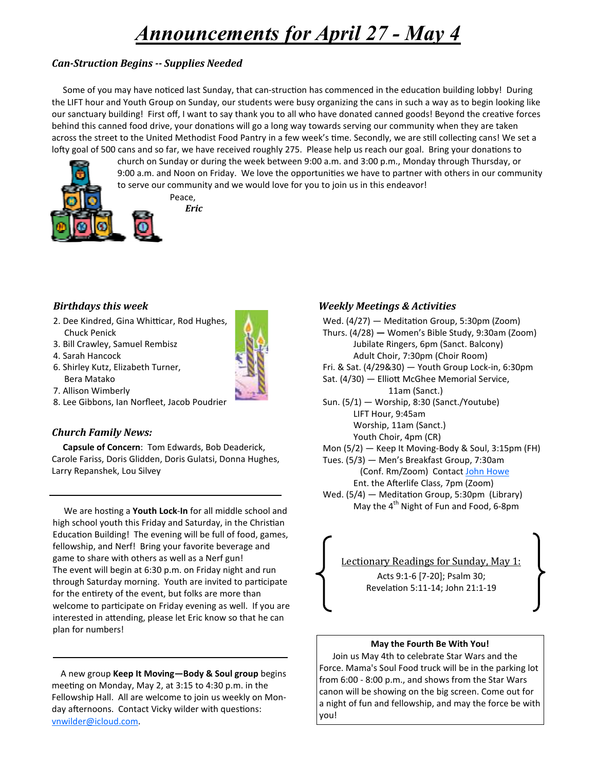# *Announcements for April 27 - May 4*

# *Can-Struction Begins -- Supplies Needed*

Some of you may have noticed last Sunday, that can-struction has commenced in the education building lobby! During the LIFT hour and Youth Group on Sunday, our students were busy organizing the cans in such a way as to begin looking like our sanctuary building! First off, I want to say thank you to all who have donated canned goods! Beyond the creative forces behind this canned food drive, your donations will go a long way towards serving our community when they are taken across the street to the United Methodist Food Pantry in a few week's time. Secondly, we are still collecting cans! We set a lofty goal of 500 cans and so far, we have received roughly 275. Please help us reach our goal. Bring your donations to



Peace,

# **Birthdays this week**

- 2. Dee Kindred, Gina Whitticar, Rod Hughes, Chuck Penick
- 3. Bill Crawley, Samuel Rembisz
- 4. Sarah Hancock
- 6. Shirley Kutz, Elizabeth Turner, Bera Matako
- 7. Allison Wimberly
- 8. Lee Gibbons, Ian Norfleet, Jacob Poudrier

## *Church Family News:*

 **Capsule of Concern**: Tom Edwards, Bob Deaderick, Carole Fariss, Doris Glidden, Doris Gulatsi, Donna Hughes, Larry Repanshek, Lou Silvey

We are hosting a **Youth Lock-In** for all middle school and high school youth this Friday and Saturday, in the Christian Education Building! The evening will be full of food, games, fellowship, and Nerf! Bring your favorite beverage and game to share with others as well as a Nerf gun! The event will begin at 6:30 p.m. on Friday night and run through Saturday morning. Youth are invited to participate for the entirety of the event, but folks are more than welcome to participate on Friday evening as well. If you are interested in attending, please let Eric know so that he can plan for numbers!

 A new group **Keep It Moving—Body & Soul group** begins meeting on Monday, May 2, at 3:15 to 4:30 p.m. in the Fellowship Hall. All are welcome to join us weekly on Monday afternoons. Contact Vicky wilder with questions: vnwilder@icloud.com.

## *Weekly Meetings & Activities*



Lectionary Readings for Sunday, May 1: Acts 9:1-6 [7-20]; Psalm 30; Revelation 5:11-14; John 21:1-19

#### **May the Fourth Be With You!**

 Join us May 4th to celebrate Star Wars and the Force. Mama's Soul Food truck will be in the parking lot from 6:00 - 8:00 p.m., and shows from the Star Wars canon will be showing on the big screen. Come out for a night of fun and fellowship, and may the force be with you!